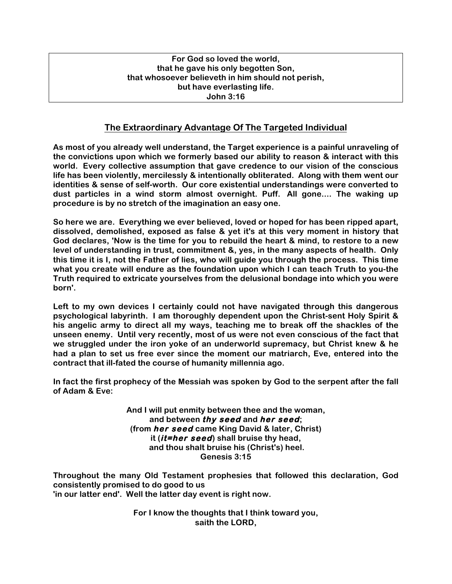### **For God so loved the world, that he gave his only begotten Son, that whosoever believeth in him should not perish, but have everlasting life. John 3:16**

# **The Extraordinary Advantage Of The Targeted Individual**

**As most of you already well understand, the Target experience is a painful unraveling of the convictions upon which we formerly based our ability to reason & interact with this world. Every collective assumption that gave credence to our vision of the conscious life has been violently, mercilessly & intentionally obliterated. Along with them went our identities & sense of self-worth. Our core existential understandings were converted to dust particles in a wind storm almost overnight. Puff. All gone.... The waking up procedure is by no stretch of the imagination an easy one.**

**So here we are. Everything we ever believed, loved or hoped for has been ripped apart, dissolved, demolished, exposed as false & yet it's at this very moment in history that God declares, 'Now is the time for you to rebuild the heart & mind, to restore to a new level of understanding in trust, commitment &, yes, in the many aspects of health. Only this time it is I, not the Father of lies, who will guide you through the process. This time what you create will endure as the foundation upon which I can teach Truth to you-the Truth required to extricate yourselves from the delusional bondage into which you were born'.** 

**Left to my own devices I certainly could not have navigated through this dangerous psychological labyrinth. I am thoroughly dependent upon the Christ-sent Holy Spirit & his angelic army to direct all my ways, teaching me to break off the shackles of the unseen enemy. Until very recently, most of us were not even conscious of the fact that we struggled under the iron yoke of an underworld supremacy, but Christ knew & he had a plan to set us free ever since the moment our matriarch, Eve, entered into the contract that ill-fated the course of humanity millennia ago.** 

**In fact the first prophecy of the Messiah was spoken by God to the serpent after the fall of Adam & Eve:**

> **And I will put enmity between thee and the woman, and between thy seed and her seed; (from her seed came King David & later, Christ) it (it=her seed) shall bruise thy head, and thou shalt bruise his (Christ's) heel. Genesis 3:15**

**Throughout the many Old Testament prophesies that followed this declaration, God consistently promised to do good to us 'in our latter end'. Well the latter day event is right now.** 

> **For I know the thoughts that I think toward you, saith the LORD,**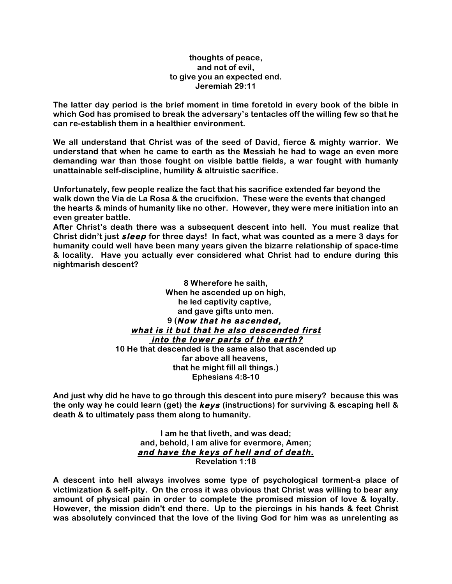### **thoughts of peace, and not of evil, to give you an expected end. Jeremiah 29:11**

**The latter day period is the brief moment in time foretold in every book of the bible in which God has promised to break the adversary's tentacles off the willing few so that he can re-establish them in a healthier environment.**

**We all understand that Christ was of the seed of David, fierce & mighty warrior. We understand that when he came to earth as the Messiah he had to wage an even more demanding war than those fought on visible battle fields, a war fought with humanly unattainable self-discipline, humility & altruistic sacrifice.**

**Unfortunately, few people realize the fact that his sacrifice extended far beyond the walk down the Via de La Rosa & the crucifixion. These were the events that changed the hearts & minds of humanity like no other. However, they were mere initiation into an even greater battle.**

**After Christ's death there was a subsequent descent into hell. You must realize that Christ didn't just sleep for three days! In fact, what was counted as a mere 3 days for humanity could well have been many years given the bizarre relationship of space-time & locality. Have you actually ever considered what Christ had to endure during this nightmarish descent?**

> **8 Wherefore he saith, When he ascended up on high, he led captivity captive, and gave gifts unto men. 9 (Now that he ascended, what is it but that he also descended first into the lower parts of the earth? 10 He that descended is the same also that ascended up far above all heavens, that he might fill all things.) Ephesians 4:8-10**

**And just why did he have to go through this descent into pure misery? because this was the only way he could learn (get) the keys (instructions) for surviving & escaping hell & death & to ultimately pass them along to humanity.**

> **I am he that liveth, and was dead; and, behold, I am alive for evermore, Amen; and have the keys of hell and of death. Revelation 1:18**

**A descent into hell always involves some type of psychological torment-a place of victimization & self-pity. On the cross it was obvious that Christ was willing to bear any amount of physical pain in order to complete the promised mission of love & loyalty. However, the mission didn't end there. Up to the piercings in his hands & feet Christ was absolutely convinced that the love of the living God for him was as unrelenting as**